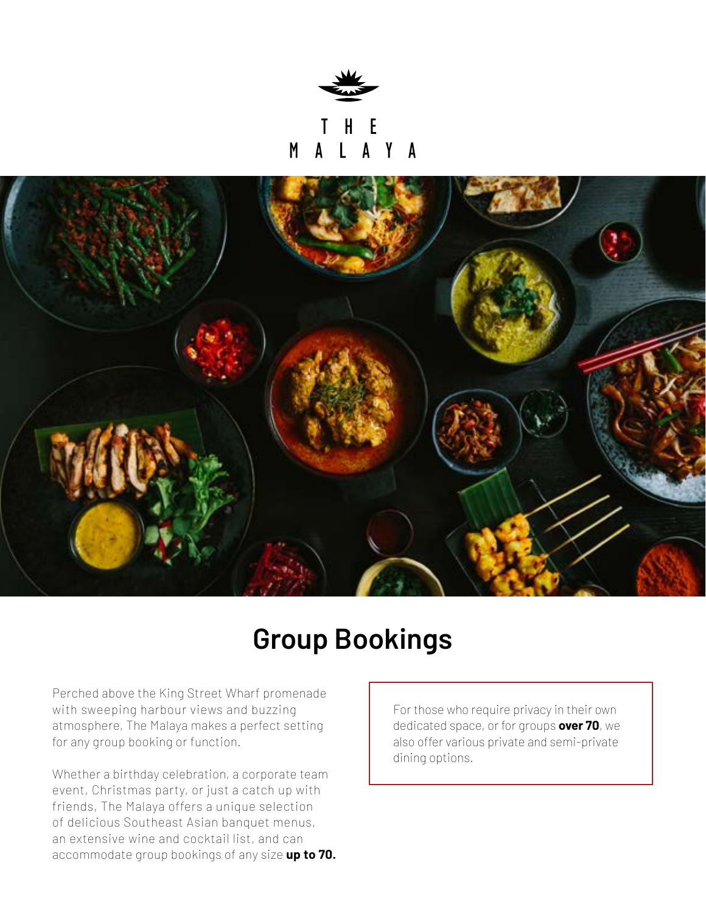

 $\mathsf{H}$ -E L A Y A  $M$ 



## **Group Bookings**

Perched above the King Street Wharf promenade with sweeping harbour views and buzzing atmosphere, The Malaya makes a perfect setting for any group booking or function.

Whether a birthday celebration, a corporate team event, Christmas party, or just a catch up with friends, The Malaya offers a unique selection of delicious Southeast Asian banquet menus, an extensive wine and cocktail list, and can accommodate group bookings of any size **up to 70.** For those who require privacy in their own dedicated space, or for groups **over 70**, we also offer various private and semi-private dining options.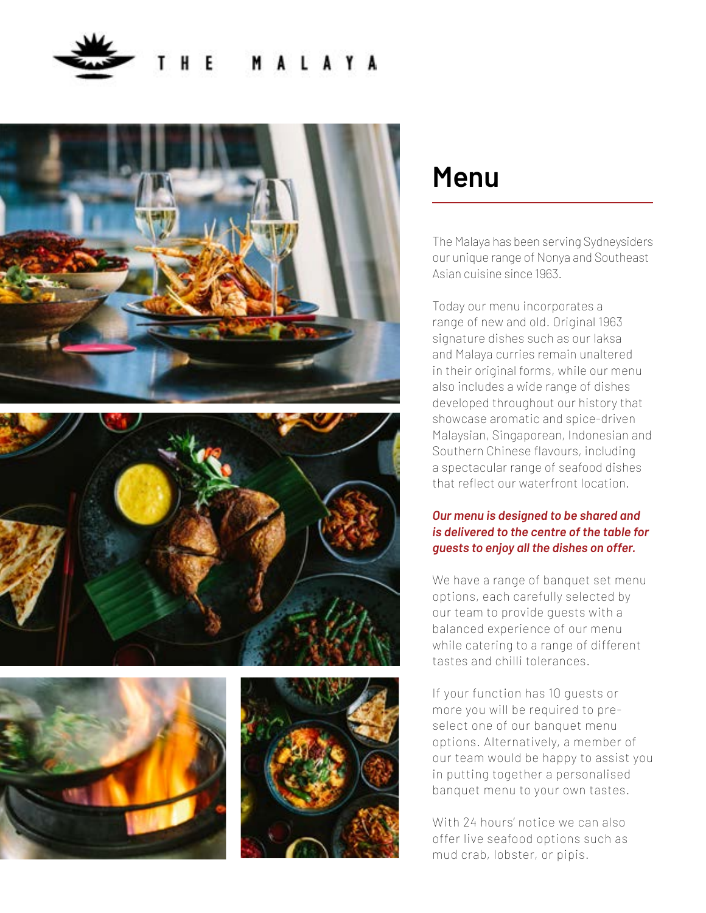









### **Menu**

The Malaya has been serving Sydneysiders our unique range of Nonya and Southeast Asian cuisine since 1963.

Today our menu incorporates a range of new and old. Original 1963 signature dishes such as our laksa and Malaya curries remain unaltered in their original forms, while our menu also includes a wide range of dishes developed throughout our history that showcase aromatic and spice-driven Malaysian, Singaporean, Indonesian and Southern Chinese flavours, including a spectacular range of seafood dishes that reflect our waterfront location.

### *Our menu is designed to be shared and is delivered to the centre of the table for guests to enjoy all the dishes on offer.*

We have a range of banquet set menu options, each carefully selected by our team to provide guests with a balanced experience of our menu while catering to a range of different tastes and chilli tolerances.

If your function has 10 guests or more you will be required to preselect one of our banquet menu options. Alternatively, a member of our team would be happy to assist you in putting together a personalised banquet menu to your own tastes.

With 24 hours' notice we can also offer live seafood options such as mud crab, lobster, or pipis.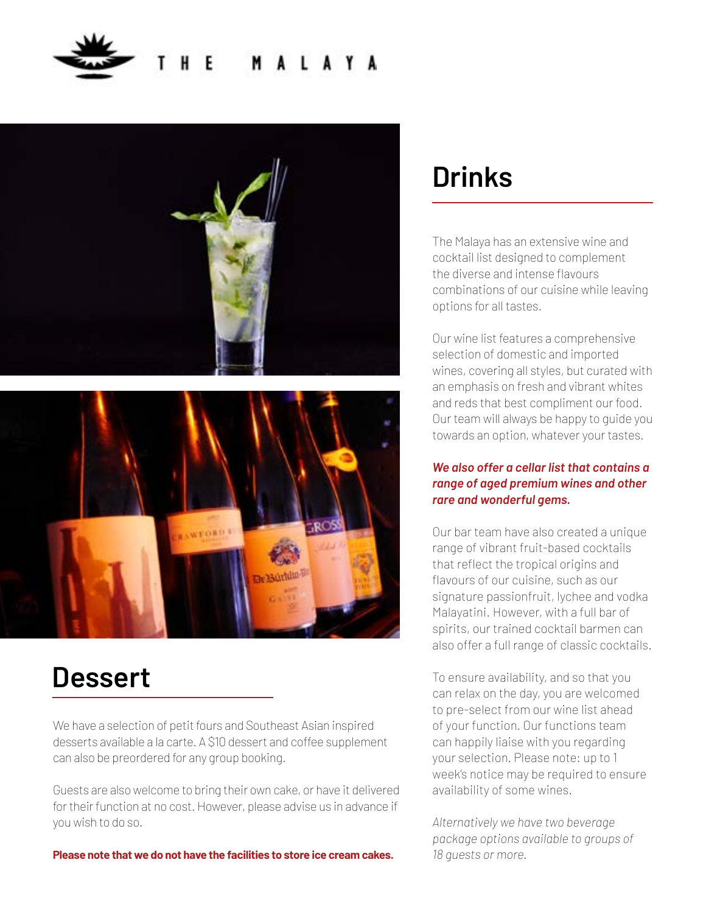



### **Dessert**

We have a selection of petit fours and Southeast Asian inspired desserts available a la carte. A \$10 dessert and coffee supplement can also be preordered for any group booking.

Guests are also welcome to bring their own cake, or have it delivered for their function at no cost. However, please advise us in advance if you wish to do so.

**Please note that we do not have the facilities to store ice cream cakes.**

## **Drinks**

The Malaya has an extensive wine and cocktail list designed to complement the diverse and intense flavours combinations of our cuisine while leaving options for all tastes.

Our wine list features a comprehensive selection of domestic and imported wines, covering all styles, but curated with an emphasis on fresh and vibrant whites and reds that best compliment our food. Our team will always be happy to guide you towards an option, whatever your tastes.

#### *We also offer a cellar list that contains a range of aged premium wines and other rare and wonderful gems.*

Our bar team have also created a unique range of vibrant fruit-based cocktails that reflect the tropical origins and flavours of our cuisine, such as our signature passionfruit, lychee and vodka Malayatini. However, with a full bar of spirits, our trained cocktail barmen can also offer a full range of classic cocktails.

To ensure availability, and so that you can relax on the day, you are welcomed to pre-select from our wine list ahead of your function. Our functions team can happily liaise with you regarding your selection. Please note: up to 1 week's notice may be required to ensure availability of some wines.

*Alternatively we have two beverage package options available to groups of 18 guests or more.*